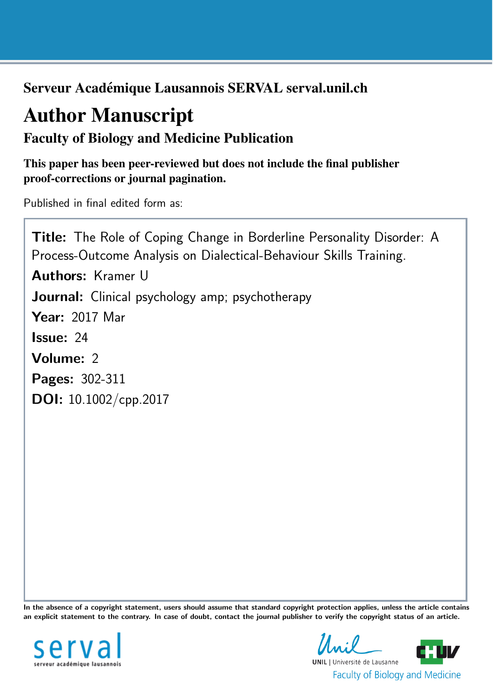Serveur Académique Lausannois SERVAL serval.unil.ch

# Author Manuscript

Faculty of Biology and Medicine Publication

This paper has been peer-reviewed but does not include the final publisher proof-corrections or journal pagination.

Published in final edited form as:

Title: The Role of Coping Change in Borderline Personality Disorder: A Process-Outcome Analysis on Dialectical-Behaviour Skills Training. Authors: Kramer U Journal: Clinical psychology amp; psychotherapy Year: 2017 Mar Issue: 24 Volume: 2 Pages: 302-311 DOI: [10.1002/cpp.2017](http://dx.doi.org/10.1002/cpp.2017)

In the absence of a copyright statement, users should assume that standard copyright protection applies, unless the article contains an explicit statement to the contrary. In case of doubt, contact the journal publisher to verify the copyright status of an article.



**UNIL** | Université de Lausanne **Faculty of Biology and Medicine**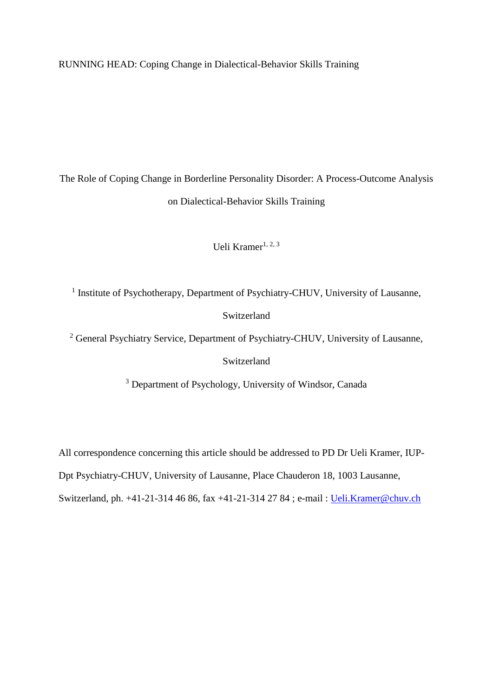RUNNING HEAD: Coping Change in Dialectical-Behavior Skills Training

The Role of Coping Change in Borderline Personality Disorder: A Process-Outcome Analysis on Dialectical-Behavior Skills Training

Ueli Kramer<sup>1, 2, 3</sup>

<sup>1</sup> Institute of Psychotherapy, Department of Psychiatry-CHUV, University of Lausanne,

# Switzerland

<sup>2</sup> General Psychiatry Service, Department of Psychiatry-CHUV, University of Lausanne,

Switzerland

<sup>3</sup> Department of Psychology, University of Windsor, Canada

All correspondence concerning this article should be addressed to PD Dr Ueli Kramer, IUP-

Dpt Psychiatry-CHUV, University of Lausanne, Place Chauderon 18, 1003 Lausanne,

Switzerland, ph. +41-21-314 46 86, fax +41-21-314 27 84 ; e-mail : [Ueli.Kramer@chuv.ch](mailto:Ueli.Kramer@chuv.ch)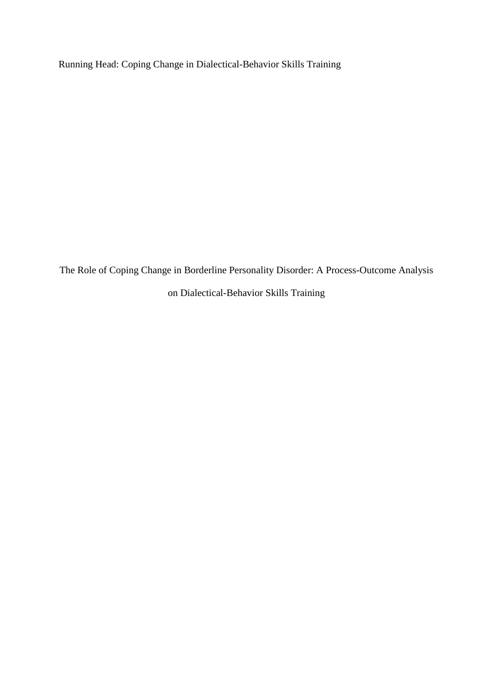Running Head: Coping Change in Dialectical-Behavior Skills Training

The Role of Coping Change in Borderline Personality Disorder: A Process-Outcome Analysis on Dialectical-Behavior Skills Training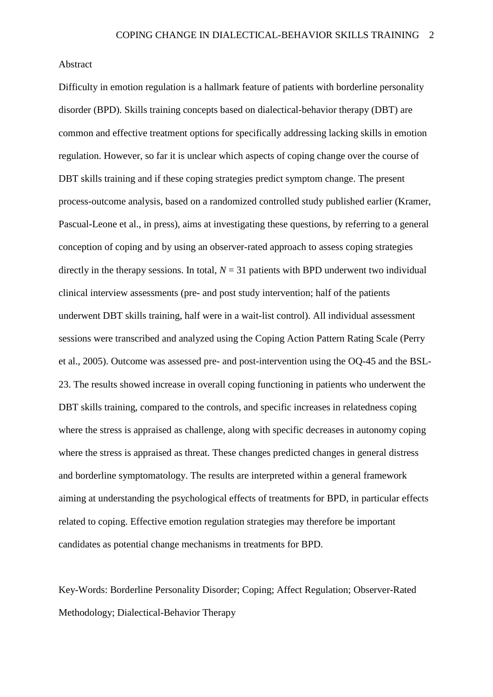#### Abstract

Difficulty in emotion regulation is a hallmark feature of patients with borderline personality disorder (BPD). Skills training concepts based on dialectical-behavior therapy (DBT) are common and effective treatment options for specifically addressing lacking skills in emotion regulation. However, so far it is unclear which aspects of coping change over the course of DBT skills training and if these coping strategies predict symptom change. The present process-outcome analysis, based on a randomized controlled study published earlier (Kramer, Pascual-Leone et al., in press), aims at investigating these questions, by referring to a general conception of coping and by using an observer-rated approach to assess coping strategies directly in the therapy sessions. In total,  $N = 31$  patients with BPD underwent two individual clinical interview assessments (pre- and post study intervention; half of the patients underwent DBT skills training, half were in a wait-list control). All individual assessment sessions were transcribed and analyzed using the Coping Action Pattern Rating Scale (Perry et al., 2005). Outcome was assessed pre- and post-intervention using the OQ-45 and the BSL-23. The results showed increase in overall coping functioning in patients who underwent the DBT skills training, compared to the controls, and specific increases in relatedness coping where the stress is appraised as challenge, along with specific decreases in autonomy coping where the stress is appraised as threat. These changes predicted changes in general distress and borderline symptomatology. The results are interpreted within a general framework aiming at understanding the psychological effects of treatments for BPD, in particular effects related to coping. Effective emotion regulation strategies may therefore be important candidates as potential change mechanisms in treatments for BPD.

Key-Words: Borderline Personality Disorder; Coping; Affect Regulation; Observer-Rated Methodology; Dialectical-Behavior Therapy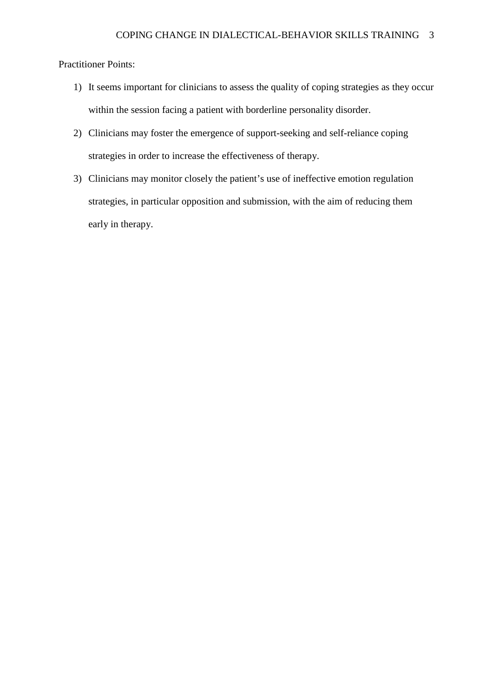# Practitioner Points:

- 1) It seems important for clinicians to assess the quality of coping strategies as they occur within the session facing a patient with borderline personality disorder.
- 2) Clinicians may foster the emergence of support-seeking and self-reliance coping strategies in order to increase the effectiveness of therapy.
- 3) Clinicians may monitor closely the patient's use of ineffective emotion regulation strategies, in particular opposition and submission, with the aim of reducing them early in therapy.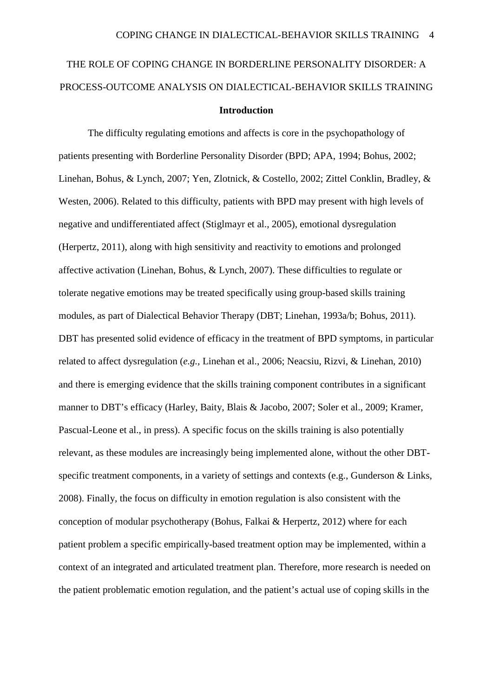# THE ROLE OF COPING CHANGE IN BORDERLINE PERSONALITY DISORDER: A PROCESS-OUTCOME ANALYSIS ON DIALECTICAL-BEHAVIOR SKILLS TRAINING **Introduction**

The difficulty regulating emotions and affects is core in the psychopathology of patients presenting with Borderline Personality Disorder (BPD; APA, 1994; Bohus, 2002; Linehan, Bohus, & Lynch, 2007; Yen, Zlotnick, & Costello, 2002; Zittel Conklin, Bradley, & Westen, 2006). Related to this difficulty, patients with BPD may present with high levels of negative and undifferentiated affect (Stiglmayr et al., 2005), emotional dysregulation (Herpertz, 2011), along with high sensitivity and reactivity to emotions and prolonged affective activation (Linehan, Bohus, & Lynch, 2007). These difficulties to regulate or tolerate negative emotions may be treated specifically using group-based skills training modules, as part of Dialectical Behavior Therapy (DBT; Linehan, 1993a/b; Bohus, 2011). DBT has presented solid evidence of efficacy in the treatment of BPD symptoms, in particular related to affect dysregulation (*e.g.,* Linehan et al., 2006; Neacsiu, Rizvi, & Linehan, 2010) and there is emerging evidence that the skills training component contributes in a significant manner to DBT's efficacy (Harley, Baity, Blais & Jacobo, 2007; Soler et al., 2009; Kramer, Pascual-Leone et al., in press). A specific focus on the skills training is also potentially relevant, as these modules are increasingly being implemented alone, without the other DBTspecific treatment components, in a variety of settings and contexts (e.g., Gunderson & Links, 2008). Finally, the focus on difficulty in emotion regulation is also consistent with the conception of modular psychotherapy (Bohus, Falkai & Herpertz, 2012) where for each patient problem a specific empirically-based treatment option may be implemented, within a context of an integrated and articulated treatment plan. Therefore, more research is needed on the patient problematic emotion regulation, and the patient's actual use of coping skills in the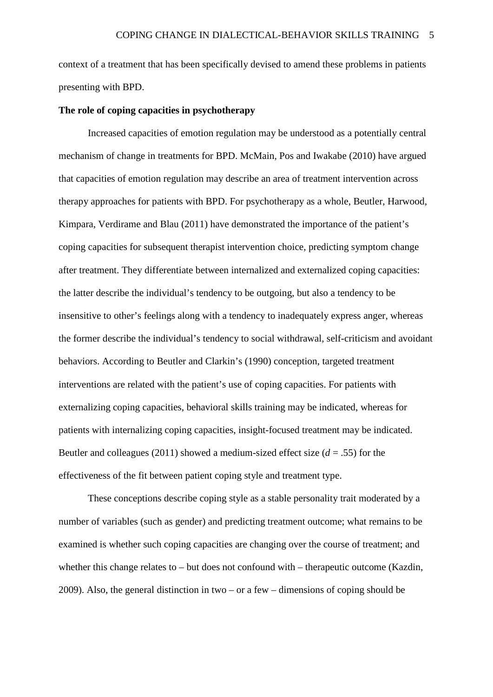context of a treatment that has been specifically devised to amend these problems in patients presenting with BPD.

#### **The role of coping capacities in psychotherapy**

Increased capacities of emotion regulation may be understood as a potentially central mechanism of change in treatments for BPD. McMain, Pos and Iwakabe (2010) have argued that capacities of emotion regulation may describe an area of treatment intervention across therapy approaches for patients with BPD. For psychotherapy as a whole, Beutler, Harwood, Kimpara, Verdirame and Blau (2011) have demonstrated the importance of the patient's coping capacities for subsequent therapist intervention choice, predicting symptom change after treatment. They differentiate between internalized and externalized coping capacities: the latter describe the individual's tendency to be outgoing, but also a tendency to be insensitive to other's feelings along with a tendency to inadequately express anger, whereas the former describe the individual's tendency to social withdrawal, self-criticism and avoidant behaviors. According to Beutler and Clarkin's (1990) conception, targeted treatment interventions are related with the patient's use of coping capacities. For patients with externalizing coping capacities, behavioral skills training may be indicated, whereas for patients with internalizing coping capacities, insight-focused treatment may be indicated. Beutler and colleagues (2011) showed a medium-sized effect size (*d* = .55) for the effectiveness of the fit between patient coping style and treatment type.

These conceptions describe coping style as a stable personality trait moderated by a number of variables (such as gender) and predicting treatment outcome; what remains to be examined is whether such coping capacities are changing over the course of treatment; and whether this change relates to – but does not confound with – therapeutic outcome (Kazdin, 2009). Also, the general distinction in two – or a few – dimensions of coping should be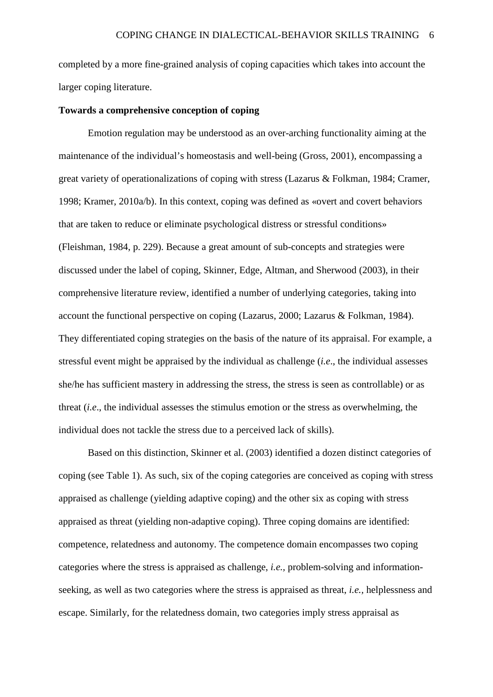completed by a more fine-grained analysis of coping capacities which takes into account the larger coping literature.

#### **Towards a comprehensive conception of coping**

Emotion regulation may be understood as an over-arching functionality aiming at the maintenance of the individual's homeostasis and well-being (Gross, 2001), encompassing a great variety of operationalizations of coping with stress (Lazarus & Folkman, 1984; Cramer, 1998; Kramer, 2010a/b). In this context, coping was defined as «overt and covert behaviors that are taken to reduce or eliminate psychological distress or stressful conditions» (Fleishman, 1984, p. 229). Because a great amount of sub-concepts and strategies were discussed under the label of coping, Skinner, Edge, Altman, and Sherwood (2003), in their comprehensive literature review, identified a number of underlying categories, taking into account the functional perspective on coping (Lazarus, 2000; Lazarus & Folkman, 1984). They differentiated coping strategies on the basis of the nature of its appraisal. For example, a stressful event might be appraised by the individual as challenge (*i.e*., the individual assesses she/he has sufficient mastery in addressing the stress, the stress is seen as controllable) or as threat (*i.e*., the individual assesses the stimulus emotion or the stress as overwhelming, the individual does not tackle the stress due to a perceived lack of skills).

Based on this distinction, Skinner et al. (2003) identified a dozen distinct categories of coping (see Table 1). As such, six of the coping categories are conceived as coping with stress appraised as challenge (yielding adaptive coping) and the other six as coping with stress appraised as threat (yielding non-adaptive coping). Three coping domains are identified: competence, relatedness and autonomy. The competence domain encompasses two coping categories where the stress is appraised as challenge, *i.e.,* problem-solving and informationseeking, as well as two categories where the stress is appraised as threat, *i.e.,* helplessness and escape. Similarly, for the relatedness domain, two categories imply stress appraisal as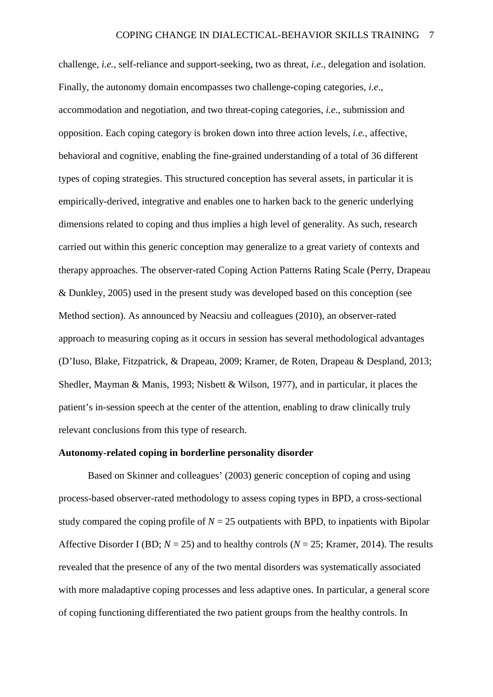challenge, *i.e.,* self-reliance and support-seeking, two as threat, *i.e*., delegation and isolation. Finally, the autonomy domain encompasses two challenge-coping categories, *i.e*., accommodation and negotiation, and two threat-coping categories, *i.e*., submission and opposition. Each coping category is broken down into three action levels, *i.e.,* affective, behavioral and cognitive, enabling the fine-grained understanding of a total of 36 different types of coping strategies. This structured conception has several assets, in particular it is empirically-derived, integrative and enables one to harken back to the generic underlying dimensions related to coping and thus implies a high level of generality. As such, research carried out within this generic conception may generalize to a great variety of contexts and therapy approaches. The observer-rated Coping Action Patterns Rating Scale (Perry, Drapeau & Dunkley, 2005) used in the present study was developed based on this conception (see Method section). As announced by Neacsiu and colleagues (2010), an observer-rated approach to measuring coping as it occurs in session has several methodological advantages (D'Iuso, Blake, Fitzpatrick, & Drapeau, 2009; Kramer, de Roten, Drapeau & Despland, 2013; Shedler, Mayman & Manis, 1993; Nisbett & Wilson, 1977), and in particular, it places the patient's in-session speech at the center of the attention, enabling to draw clinically truly relevant conclusions from this type of research.

#### **Autonomy-related coping in borderline personality disorder**

Based on Skinner and colleagues' (2003) generic conception of coping and using process-based observer-rated methodology to assess coping types in BPD, a cross-sectional study compared the coping profile of  $N = 25$  outpatients with BPD, to inpatients with Bipolar Affective Disorder I (BD; *N* = 25) and to healthy controls (*N* = 25; Kramer, 2014). The results revealed that the presence of any of the two mental disorders was systematically associated with more maladaptive coping processes and less adaptive ones. In particular, a general score of coping functioning differentiated the two patient groups from the healthy controls. In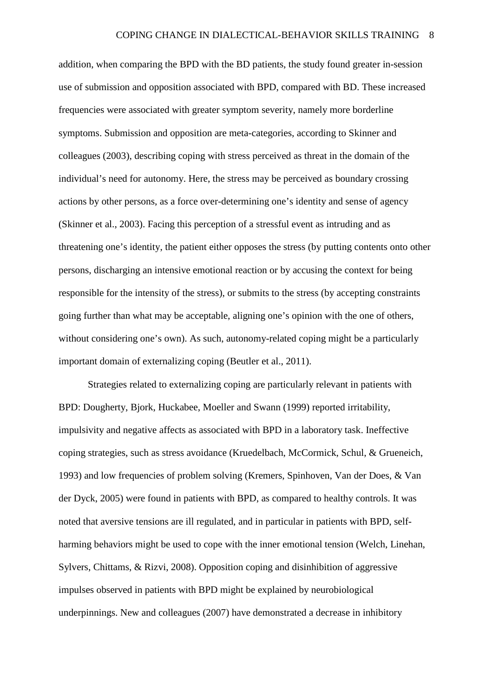addition, when comparing the BPD with the BD patients, the study found greater in-session use of submission and opposition associated with BPD, compared with BD. These increased frequencies were associated with greater symptom severity, namely more borderline symptoms. Submission and opposition are meta-categories, according to Skinner and colleagues (2003), describing coping with stress perceived as threat in the domain of the individual's need for autonomy. Here, the stress may be perceived as boundary crossing actions by other persons, as a force over-determining one's identity and sense of agency (Skinner et al., 2003). Facing this perception of a stressful event as intruding and as threatening one's identity, the patient either opposes the stress (by putting contents onto other persons, discharging an intensive emotional reaction or by accusing the context for being responsible for the intensity of the stress), or submits to the stress (by accepting constraints going further than what may be acceptable, aligning one's opinion with the one of others, without considering one's own). As such, autonomy-related coping might be a particularly important domain of externalizing coping (Beutler et al., 2011).

Strategies related to externalizing coping are particularly relevant in patients with BPD: Dougherty, Bjork, Huckabee, Moeller and Swann (1999) reported irritability, impulsivity and negative affects as associated with BPD in a laboratory task. Ineffective coping strategies, such as stress avoidance (Kruedelbach, McCormick, Schul, & Grueneich, 1993) and low frequencies of problem solving (Kremers, Spinhoven, Van der Does, & Van der Dyck, 2005) were found in patients with BPD, as compared to healthy controls. It was noted that aversive tensions are ill regulated, and in particular in patients with BPD, selfharming behaviors might be used to cope with the inner emotional tension (Welch, Linehan, Sylvers, Chittams, & Rizvi, 2008). Opposition coping and disinhibition of aggressive impulses observed in patients with BPD might be explained by neurobiological underpinnings. New and colleagues (2007) have demonstrated a decrease in inhibitory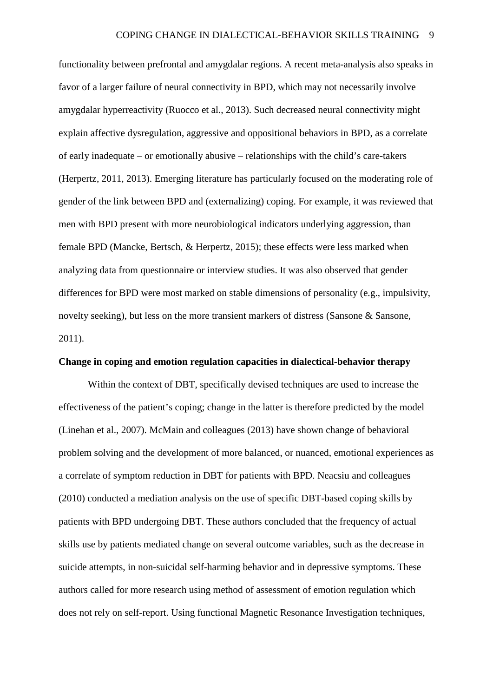functionality between prefrontal and amygdalar regions. A recent meta-analysis also speaks in favor of a larger failure of neural connectivity in BPD, which may not necessarily involve amygdalar hyperreactivity (Ruocco et al., 2013). Such decreased neural connectivity might explain affective dysregulation, aggressive and oppositional behaviors in BPD, as a correlate of early inadequate – or emotionally abusive – relationships with the child's care-takers (Herpertz, 2011, 2013). Emerging literature has particularly focused on the moderating role of gender of the link between BPD and (externalizing) coping. For example, it was reviewed that men with BPD present with more neurobiological indicators underlying aggression, than female BPD (Mancke, Bertsch, & Herpertz, 2015); these effects were less marked when analyzing data from questionnaire or interview studies. It was also observed that gender differences for BPD were most marked on stable dimensions of personality (e.g., impulsivity, novelty seeking), but less on the more transient markers of distress (Sansone & Sansone, 2011).

#### **Change in coping and emotion regulation capacities in dialectical-behavior therapy**

Within the context of DBT, specifically devised techniques are used to increase the effectiveness of the patient's coping; change in the latter is therefore predicted by the model (Linehan et al., 2007). McMain and colleagues (2013) have shown change of behavioral problem solving and the development of more balanced, or nuanced, emotional experiences as a correlate of symptom reduction in DBT for patients with BPD. Neacsiu and colleagues (2010) conducted a mediation analysis on the use of specific DBT-based coping skills by patients with BPD undergoing DBT. These authors concluded that the frequency of actual skills use by patients mediated change on several outcome variables, such as the decrease in suicide attempts, in non-suicidal self-harming behavior and in depressive symptoms. These authors called for more research using method of assessment of emotion regulation which does not rely on self-report. Using functional Magnetic Resonance Investigation techniques,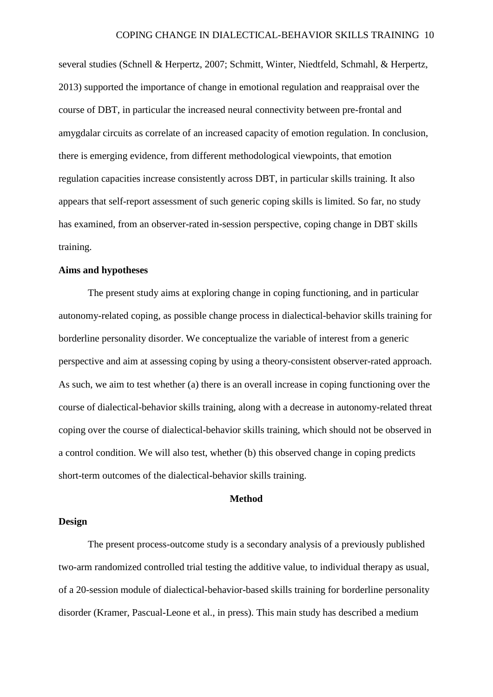several studies (Schnell & Herpertz, 2007; Schmitt, Winter, Niedtfeld, Schmahl, & Herpertz, 2013) supported the importance of change in emotional regulation and reappraisal over the course of DBT, in particular the increased neural connectivity between pre-frontal and amygdalar circuits as correlate of an increased capacity of emotion regulation. In conclusion, there is emerging evidence, from different methodological viewpoints, that emotion regulation capacities increase consistently across DBT, in particular skills training. It also appears that self-report assessment of such generic coping skills is limited. So far, no study has examined, from an observer-rated in-session perspective, coping change in DBT skills training.

#### **Aims and hypotheses**

The present study aims at exploring change in coping functioning, and in particular autonomy-related coping, as possible change process in dialectical-behavior skills training for borderline personality disorder. We conceptualize the variable of interest from a generic perspective and aim at assessing coping by using a theory-consistent observer-rated approach. As such, we aim to test whether (a) there is an overall increase in coping functioning over the course of dialectical-behavior skills training, along with a decrease in autonomy-related threat coping over the course of dialectical-behavior skills training, which should not be observed in a control condition. We will also test, whether (b) this observed change in coping predicts short-term outcomes of the dialectical-behavior skills training.

#### **Method**

#### **Design**

The present process-outcome study is a secondary analysis of a previously published two-arm randomized controlled trial testing the additive value, to individual therapy as usual, of a 20-session module of dialectical-behavior-based skills training for borderline personality disorder (Kramer, Pascual-Leone et al., in press). This main study has described a medium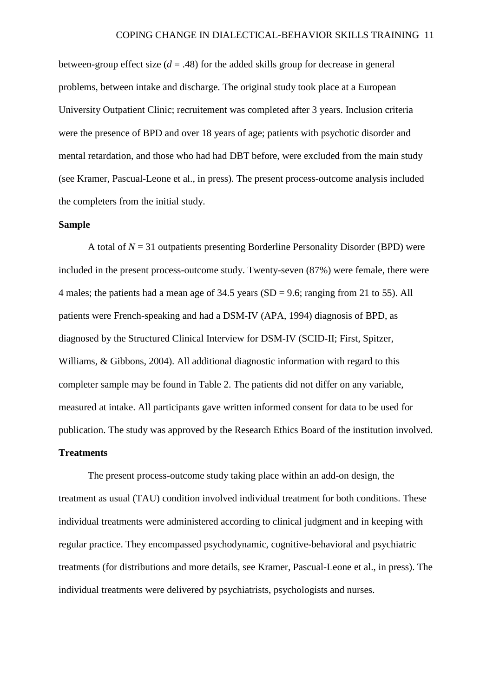between-group effect size  $(d = .48)$  for the added skills group for decrease in general problems, between intake and discharge. The original study took place at a European University Outpatient Clinic; recruitement was completed after 3 years. Inclusion criteria were the presence of BPD and over 18 years of age; patients with psychotic disorder and mental retardation, and those who had had DBT before, were excluded from the main study (see Kramer, Pascual-Leone et al., in press). The present process-outcome analysis included the completers from the initial study.

#### **Sample**

A total of  $N = 31$  outpatients presenting Borderline Personality Disorder (BPD) were included in the present process-outcome study. Twenty-seven (87%) were female, there were 4 males; the patients had a mean age of 34.5 years (SD = 9.6; ranging from 21 to 55). All patients were French-speaking and had a DSM-IV (APA, 1994) diagnosis of BPD, as diagnosed by the Structured Clinical Interview for DSM-IV (SCID-II; First, Spitzer, Williams, & Gibbons, 2004). All additional diagnostic information with regard to this completer sample may be found in Table 2. The patients did not differ on any variable, measured at intake. All participants gave written informed consent for data to be used for publication. The study was approved by the Research Ethics Board of the institution involved.

### **Treatments**

The present process-outcome study taking place within an add-on design, the treatment as usual (TAU) condition involved individual treatment for both conditions. These individual treatments were administered according to clinical judgment and in keeping with regular practice. They encompassed psychodynamic, cognitive-behavioral and psychiatric treatments (for distributions and more details, see Kramer, Pascual-Leone et al., in press). The individual treatments were delivered by psychiatrists, psychologists and nurses.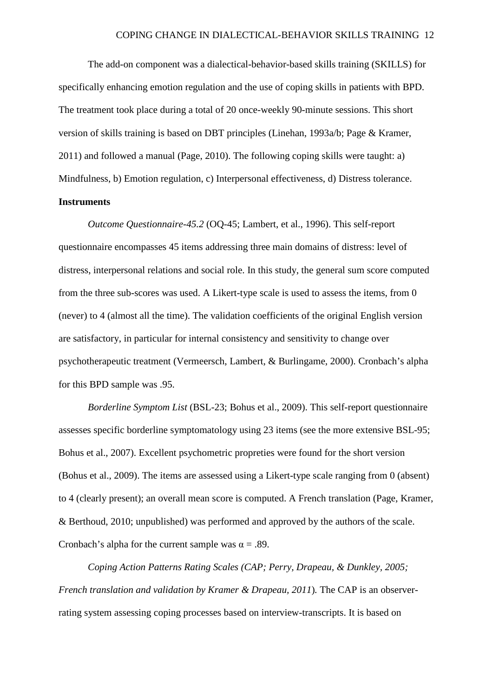The add-on component was a dialectical-behavior-based skills training (SKILLS) for specifically enhancing emotion regulation and the use of coping skills in patients with BPD. The treatment took place during a total of 20 once-weekly 90-minute sessions. This short version of skills training is based on DBT principles (Linehan, 1993a/b; Page & Kramer, 2011) and followed a manual (Page, 2010). The following coping skills were taught: a) Mindfulness, b) Emotion regulation, c) Interpersonal effectiveness, d) Distress tolerance.

#### **Instruments**

*Outcome Questionnaire-45.2* (OQ-45; Lambert, et al., 1996). This self-report questionnaire encompasses 45 items addressing three main domains of distress: level of distress, interpersonal relations and social role. In this study, the general sum score computed from the three sub-scores was used. A Likert-type scale is used to assess the items, from 0 (never) to 4 (almost all the time). The validation coefficients of the original English version are satisfactory, in particular for internal consistency and sensitivity to change over psychotherapeutic treatment (Vermeersch, Lambert, & Burlingame, 2000). Cronbach's alpha for this BPD sample was .95.

*Borderline Symptom List* (BSL-23; Bohus et al., 2009). This self-report questionnaire assesses specific borderline symptomatology using 23 items (see the more extensive BSL-95; Bohus et al., 2007). Excellent psychometric propreties were found for the short version (Bohus et al., 2009). The items are assessed using a Likert-type scale ranging from 0 (absent) to 4 (clearly present); an overall mean score is computed. A French translation (Page, Kramer, & Berthoud, 2010; unpublished) was performed and approved by the authors of the scale. Cronbach's alpha for the current sample was  $\alpha = .89$ .

*Coping Action Patterns Rating Scales (CAP; Perry, Drapeau, & Dunkley, 2005; French translation and validation by Kramer & Drapeau, 2011*)*.* The CAP is an observerrating system assessing coping processes based on interview-transcripts. It is based on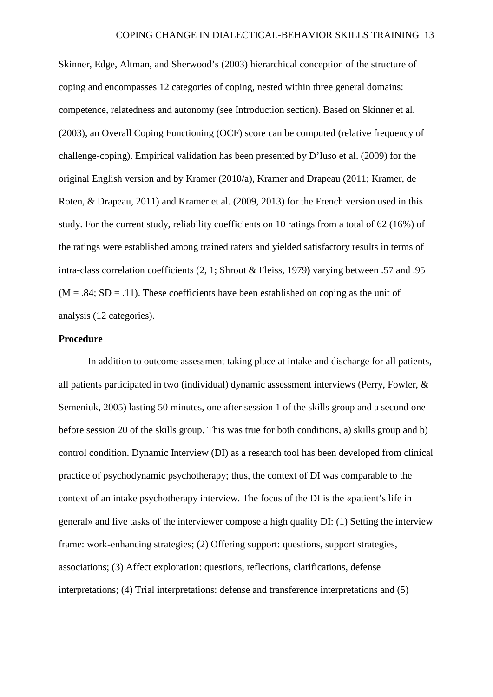Skinner, Edge, Altman, and Sherwood's (2003) hierarchical conception of the structure of coping and encompasses 12 categories of coping, nested within three general domains: competence, relatedness and autonomy (see Introduction section). Based on Skinner et al. (2003), an Overall Coping Functioning (OCF) score can be computed (relative frequency of challenge-coping). Empirical validation has been presented by D'Iuso et al. (2009) for the original English version and by Kramer (2010/a), Kramer and Drapeau (2011; Kramer, de Roten, & Drapeau, 2011) and Kramer et al. (2009, 2013) for the French version used in this study. For the current study, reliability coefficients on 10 ratings from a total of 62 (16%) of the ratings were established among trained raters and yielded satisfactory results in terms of intra-class correlation coefficients (2, 1; Shrout & Fleiss, 1979**)** varying between .57 and .95  $(M = .84; SD = .11)$ . These coefficients have been established on coping as the unit of analysis (12 categories).

#### **Procedure**

In addition to outcome assessment taking place at intake and discharge for all patients, all patients participated in two (individual) dynamic assessment interviews (Perry, Fowler, & Semeniuk, 2005) lasting 50 minutes, one after session 1 of the skills group and a second one before session 20 of the skills group. This was true for both conditions, a) skills group and b) control condition. Dynamic Interview (DI) as a research tool has been developed from clinical practice of psychodynamic psychotherapy; thus, the context of DI was comparable to the context of an intake psychotherapy interview. The focus of the DI is the «patient's life in general» and five tasks of the interviewer compose a high quality DI: (1) Setting the interview frame: work-enhancing strategies; (2) Offering support: questions, support strategies, associations; (3) Affect exploration: questions, reflections, clarifications, defense interpretations; (4) Trial interpretations: defense and transference interpretations and (5)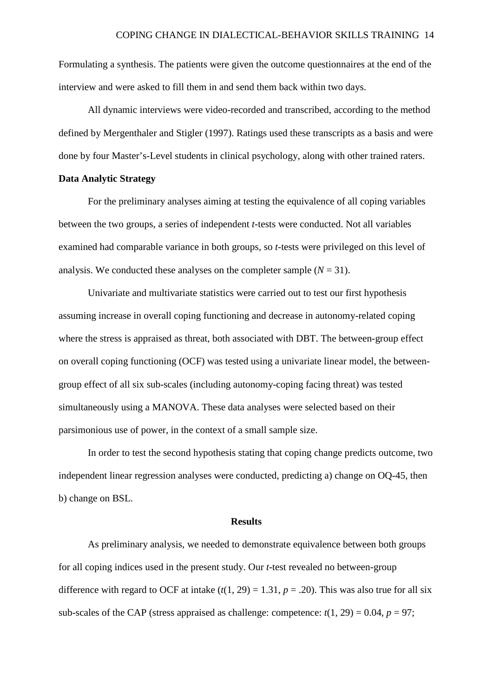Formulating a synthesis. The patients were given the outcome questionnaires at the end of the interview and were asked to fill them in and send them back within two days.

All dynamic interviews were video-recorded and transcribed, according to the method defined by Mergenthaler and Stigler (1997). Ratings used these transcripts as a basis and were done by four Master's-Level students in clinical psychology, along with other trained raters.

#### **Data Analytic Strategy**

For the preliminary analyses aiming at testing the equivalence of all coping variables between the two groups, a series of independent *t*-tests were conducted. Not all variables examined had comparable variance in both groups, so *t*-tests were privileged on this level of analysis. We conducted these analyses on the completer sample  $(N = 31)$ .

Univariate and multivariate statistics were carried out to test our first hypothesis assuming increase in overall coping functioning and decrease in autonomy-related coping where the stress is appraised as threat, both associated with DBT. The between-group effect on overall coping functioning (OCF) was tested using a univariate linear model, the betweengroup effect of all six sub-scales (including autonomy-coping facing threat) was tested simultaneously using a MANOVA. These data analyses were selected based on their parsimonious use of power, in the context of a small sample size.

In order to test the second hypothesis stating that coping change predicts outcome, two independent linear regression analyses were conducted, predicting a) change on OQ-45, then b) change on BSL.

#### **Results**

As preliminary analysis, we needed to demonstrate equivalence between both groups for all coping indices used in the present study. Our *t*-test revealed no between-group difference with regard to OCF at intake  $(t(1, 29) = 1.31, p = .20)$ . This was also true for all six sub-scales of the CAP (stress appraised as challenge: competence:  $t(1, 29) = 0.04$ ,  $p = 97$ ;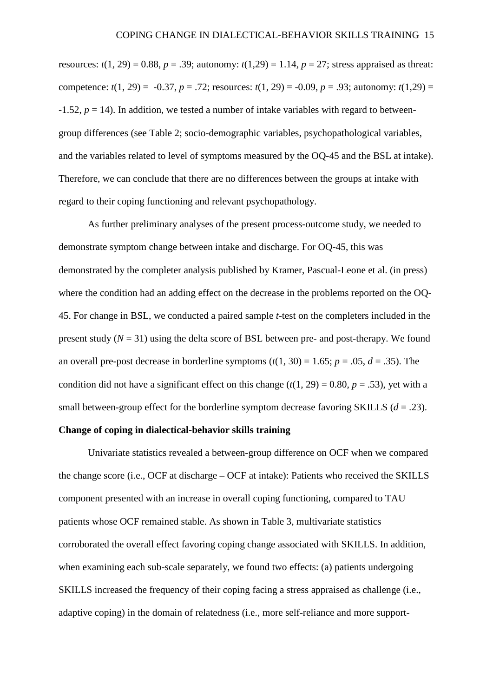resources:  $t(1, 29) = 0.88$ ,  $p = .39$ ; autonomy:  $t(1,29) = 1.14$ ,  $p = 27$ ; stress appraised as threat: competence:  $t(1, 29) = -0.37$ ,  $p = .72$ ; resources:  $t(1, 29) = -0.09$ ,  $p = .93$ ; autonomy:  $t(1.29) =$  $-1.52$ ,  $p = 14$ ). In addition, we tested a number of intake variables with regard to betweengroup differences (see Table 2; socio-demographic variables, psychopathological variables, and the variables related to level of symptoms measured by the OQ-45 and the BSL at intake). Therefore, we can conclude that there are no differences between the groups at intake with regard to their coping functioning and relevant psychopathology.

As further preliminary analyses of the present process-outcome study, we needed to demonstrate symptom change between intake and discharge. For OQ-45, this was demonstrated by the completer analysis published by Kramer, Pascual-Leone et al. (in press) where the condition had an adding effect on the decrease in the problems reported on the OQ-45. For change in BSL, we conducted a paired sample *t*-test on the completers included in the present study  $(N = 31)$  using the delta score of BSL between pre- and post-therapy. We found an overall pre-post decrease in borderline symptoms  $(t(1, 30) = 1.65; p = .05, d = .35)$ . The condition did not have a significant effect on this change  $(t(1, 29) = 0.80, p = .53)$ , yet with a small between-group effect for the borderline symptom decrease favoring SKILLS  $(d = .23)$ .

#### **Change of coping in dialectical-behavior skills training**

Univariate statistics revealed a between-group difference on OCF when we compared the change score (i.e., OCF at discharge – OCF at intake): Patients who received the SKILLS component presented with an increase in overall coping functioning, compared to TAU patients whose OCF remained stable. As shown in Table 3, multivariate statistics corroborated the overall effect favoring coping change associated with SKILLS. In addition, when examining each sub-scale separately, we found two effects: (a) patients undergoing SKILLS increased the frequency of their coping facing a stress appraised as challenge (i.e., adaptive coping) in the domain of relatedness (i.e., more self-reliance and more support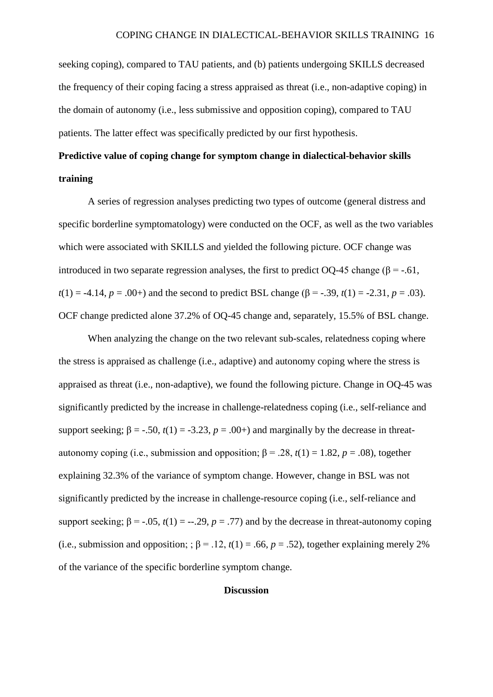seeking coping), compared to TAU patients, and (b) patients undergoing SKILLS decreased the frequency of their coping facing a stress appraised as threat (i.e., non-adaptive coping) in the domain of autonomy (i.e., less submissive and opposition coping), compared to TAU patients. The latter effect was specifically predicted by our first hypothesis.

# **Predictive value of coping change for symptom change in dialectical-behavior skills training**

A series of regression analyses predicting two types of outcome (general distress and specific borderline symptomatology) were conducted on the OCF, as well as the two variables which were associated with SKILLS and yielded the following picture. OCF change was introduced in two separate regression analyses, the first to predict OQ-45 change ( $\beta$  = -.61,  $t(1) = -4.14$ ,  $p = .00+$ ) and the second to predict BSL change ( $\beta = -.39$ ,  $t(1) = -2.31$ ,  $p = .03$ ). OCF change predicted alone 37.2% of OQ-45 change and, separately, 15.5% of BSL change.

When analyzing the change on the two relevant sub-scales, relatedness coping where the stress is appraised as challenge (i.e., adaptive) and autonomy coping where the stress is appraised as threat (i.e., non-adaptive), we found the following picture. Change in OQ-45 was significantly predicted by the increase in challenge-relatedness coping (i.e., self-reliance and support seeking;  $\beta = -.50$ ,  $t(1) = -3.23$ ,  $p = .00+$ ) and marginally by the decrease in threatautonomy coping (i.e., submission and opposition;  $β = .28, t(1) = 1.82, p = .08$ ), together explaining 32.3% of the variance of symptom change. However, change in BSL was not significantly predicted by the increase in challenge-resource coping (i.e., self-reliance and support seeking;  $\beta = -.05$ ,  $t(1) = -.29$ ,  $p = .77$ ) and by the decrease in threat-autonomy coping (i.e., submission and opposition; ;  $\beta$  = .12,  $t(1)$  = .66,  $p = .52$ ), together explaining merely 2% of the variance of the specific borderline symptom change.

#### **Discussion**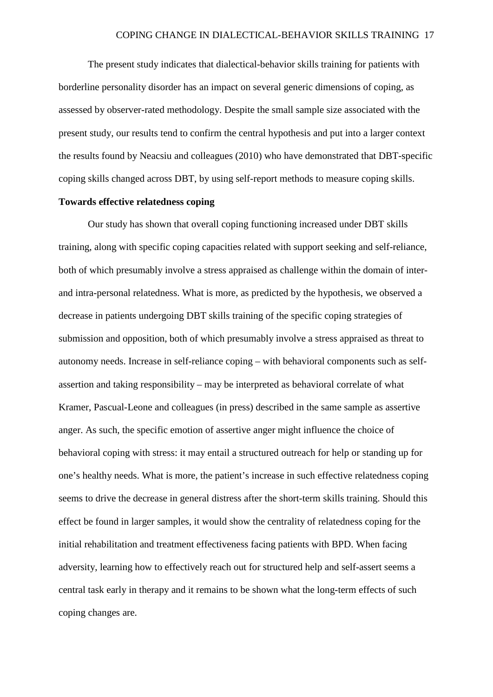The present study indicates that dialectical-behavior skills training for patients with borderline personality disorder has an impact on several generic dimensions of coping, as assessed by observer-rated methodology. Despite the small sample size associated with the present study, our results tend to confirm the central hypothesis and put into a larger context the results found by Neacsiu and colleagues (2010) who have demonstrated that DBT-specific coping skills changed across DBT, by using self-report methods to measure coping skills.

#### **Towards effective relatedness coping**

Our study has shown that overall coping functioning increased under DBT skills training, along with specific coping capacities related with support seeking and self-reliance, both of which presumably involve a stress appraised as challenge within the domain of interand intra-personal relatedness. What is more, as predicted by the hypothesis, we observed a decrease in patients undergoing DBT skills training of the specific coping strategies of submission and opposition, both of which presumably involve a stress appraised as threat to autonomy needs. Increase in self-reliance coping – with behavioral components such as selfassertion and taking responsibility – may be interpreted as behavioral correlate of what Kramer, Pascual-Leone and colleagues (in press) described in the same sample as assertive anger. As such, the specific emotion of assertive anger might influence the choice of behavioral coping with stress: it may entail a structured outreach for help or standing up for one's healthy needs. What is more, the patient's increase in such effective relatedness coping seems to drive the decrease in general distress after the short-term skills training. Should this effect be found in larger samples, it would show the centrality of relatedness coping for the initial rehabilitation and treatment effectiveness facing patients with BPD. When facing adversity, learning how to effectively reach out for structured help and self-assert seems a central task early in therapy and it remains to be shown what the long-term effects of such coping changes are.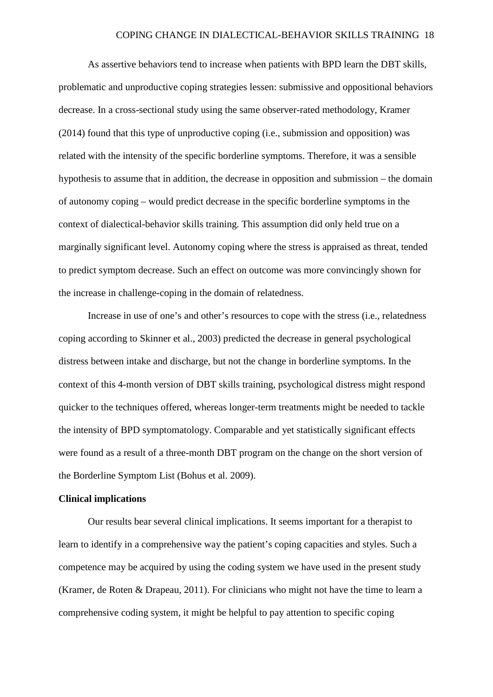As assertive behaviors tend to increase when patients with BPD learn the DBT skills, problematic and unproductive coping strategies lessen: submissive and oppositional behaviors decrease. In a cross-sectional study using the same observer-rated methodology, Kramer (2014) found that this type of unproductive coping (i.e., submission and opposition) was related with the intensity of the specific borderline symptoms. Therefore, it was a sensible hypothesis to assume that in addition, the decrease in opposition and submission – the domain of autonomy coping – would predict decrease in the specific borderline symptoms in the context of dialectical-behavior skills training. This assumption did only held true on a marginally significant level. Autonomy coping where the stress is appraised as threat, tended to predict symptom decrease. Such an effect on outcome was more convincingly shown for the increase in challenge-coping in the domain of relatedness.

Increase in use of one's and other's resources to cope with the stress (i.e., relatedness coping according to Skinner et al., 2003) predicted the decrease in general psychological distress between intake and discharge, but not the change in borderline symptoms. In the context of this 4-month version of DBT skills training, psychological distress might respond quicker to the techniques offered, whereas longer-term treatments might be needed to tackle the intensity of BPD symptomatology. Comparable and yet statistically significant effects were found as a result of a three-month DBT program on the change on the short version of the Borderline Symptom List (Bohus et al. 2009).

#### **Clinical implications**

Our results bear several clinical implications. It seems important for a therapist to learn to identify in a comprehensive way the patient's coping capacities and styles. Such a competence may be acquired by using the coding system we have used in the present study (Kramer, de Roten & Drapeau, 2011). For clinicians who might not have the time to learn a comprehensive coding system, it might be helpful to pay attention to specific coping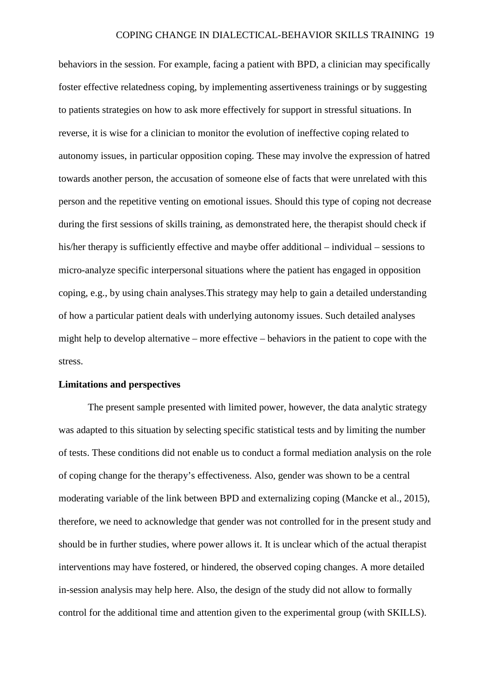behaviors in the session. For example, facing a patient with BPD, a clinician may specifically foster effective relatedness coping, by implementing assertiveness trainings or by suggesting to patients strategies on how to ask more effectively for support in stressful situations. In reverse, it is wise for a clinician to monitor the evolution of ineffective coping related to autonomy issues, in particular opposition coping. These may involve the expression of hatred towards another person, the accusation of someone else of facts that were unrelated with this person and the repetitive venting on emotional issues. Should this type of coping not decrease during the first sessions of skills training, as demonstrated here, the therapist should check if his/her therapy is sufficiently effective and maybe offer additional – individual – sessions to micro-analyze specific interpersonal situations where the patient has engaged in opposition coping, e.g., by using chain analyses.This strategy may help to gain a detailed understanding of how a particular patient deals with underlying autonomy issues. Such detailed analyses might help to develop alternative – more effective – behaviors in the patient to cope with the stress.

#### **Limitations and perspectives**

The present sample presented with limited power, however, the data analytic strategy was adapted to this situation by selecting specific statistical tests and by limiting the number of tests. These conditions did not enable us to conduct a formal mediation analysis on the role of coping change for the therapy's effectiveness. Also, gender was shown to be a central moderating variable of the link between BPD and externalizing coping (Mancke et al., 2015), therefore, we need to acknowledge that gender was not controlled for in the present study and should be in further studies, where power allows it. It is unclear which of the actual therapist interventions may have fostered, or hindered, the observed coping changes. A more detailed in-session analysis may help here. Also, the design of the study did not allow to formally control for the additional time and attention given to the experimental group (with SKILLS).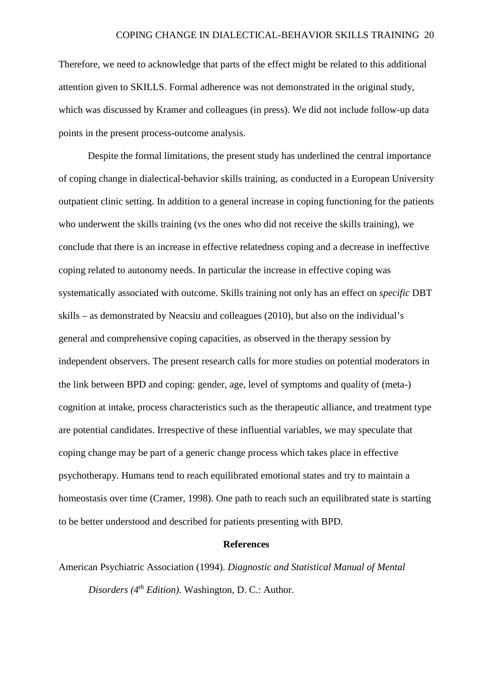Therefore, we need to acknowledge that parts of the effect might be related to this additional attention given to SKILLS. Formal adherence was not demonstrated in the original study, which was discussed by Kramer and colleagues (in press). We did not include follow-up data points in the present process-outcome analysis.

Despite the formal limitations, the present study has underlined the central importance of coping change in dialectical-behavior skills training, as conducted in a European University outpatient clinic setting. In addition to a general increase in coping functioning for the patients who underwent the skills training (vs the ones who did not receive the skills training), we conclude that there is an increase in effective relatedness coping and a decrease in ineffective coping related to autonomy needs. In particular the increase in effective coping was systematically associated with outcome. Skills training not only has an effect on *specific* DBT skills – as demonstrated by Neacsiu and colleagues (2010), but also on the individual's general and comprehensive coping capacities, as observed in the therapy session by independent observers. The present research calls for more studies on potential moderators in the link between BPD and coping: gender, age, level of symptoms and quality of (meta-) cognition at intake, process characteristics such as the therapeutic alliance, and treatment type are potential candidates. Irrespective of these influential variables, we may speculate that coping change may be part of a generic change process which takes place in effective psychotherapy. Humans tend to reach equilibrated emotional states and try to maintain a homeostasis over time (Cramer, 1998). One path to reach such an equilibrated state is starting to be better understood and described for patients presenting with BPD.

#### **References**

American Psychiatric Association (1994). *Diagnostic and Statistical Manual of Mental Disorders (4th Edition).* Washington, D. C.: Author.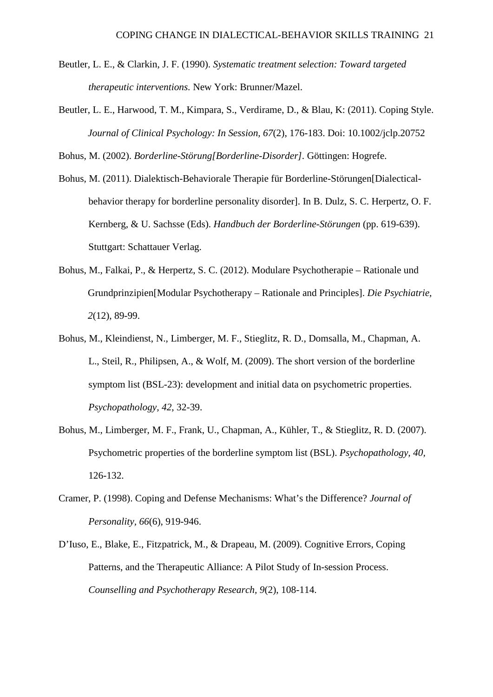- Beutler, L. E., & Clarkin, J. F. (1990). *Systematic treatment selection: Toward targeted therapeutic interventions.* New York: Brunner/Mazel.
- Beutler, L. E., Harwood, T. M., Kimpara, S., Verdirame, D., & Blau, K: (2011). Coping Style. *Journal of Clinical Psychology: In Session, 67*(2), 176-183. Doi: 10.1002/jclp.20752

Bohus, M. (2002). *Borderline-Störung[Borderline-Disorder].* Göttingen: Hogrefe.

- Bohus, M. (2011). Dialektisch-Behaviorale Therapie für Borderline-Störungen[Dialecticalbehavior therapy for borderline personality disorder]. In B. Dulz, S. C. Herpertz, O. F. Kernberg, & U. Sachsse (Eds). *Handbuch der Borderline-Störungen* (pp. 619-639). Stuttgart: Schattauer Verlag.
- Bohus, M., Falkai, P., & Herpertz, S. C. (2012). Modulare Psychotherapie Rationale und Grundprinzipien[Modular Psychotherapy – Rationale and Principles]. *Die Psychiatrie, 2*(12), 89-99.
- Bohus, M., Kleindienst, N., Limberger, M. F., Stieglitz, R. D., Domsalla, M., Chapman, A. L., Steil, R., Philipsen, A., & Wolf, M. (2009). The short version of the borderline symptom list (BSL-23): development and initial data on psychometric properties. *Psychopathology, 42*, 32-39.
- Bohus, M., Limberger, M. F., Frank, U., Chapman, A., Kühler, T., & Stieglitz, R. D. (2007). Psychometric properties of the borderline symptom list (BSL). *Psychopathology, 40,* 126-132.
- Cramer, P. (1998). Coping and Defense Mechanisms: What's the Difference? *Journal of Personality, 66*(6), 919-946.
- D'Iuso, E., Blake, E., Fitzpatrick, M., & Drapeau, M. (2009). Cognitive Errors, Coping Patterns, and the Therapeutic Alliance: A Pilot Study of In-session Process. *Counselling and Psychotherapy Research, 9*(2), 108-114.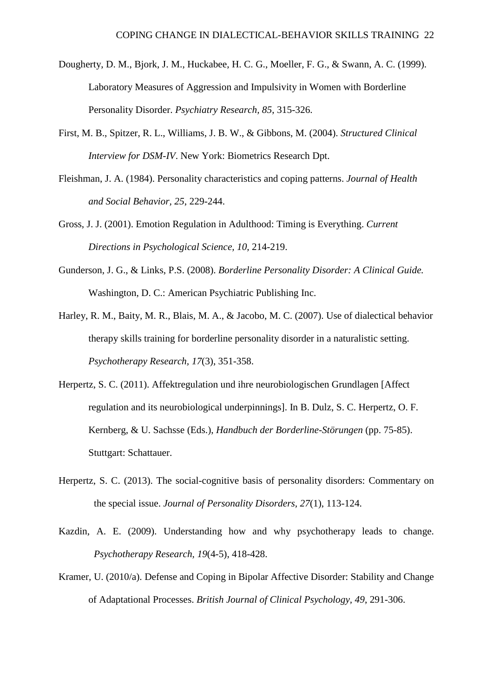- Dougherty, D. M., Bjork, J. M., Huckabee, H. C. G., Moeller, F. G., & Swann, A. C. (1999). Laboratory Measures of Aggression and Impulsivity in Women with Borderline Personality Disorder. *Psychiatry Research, 85*, 315-326.
- First, M. B., Spitzer, R. L., Williams, J. B. W., & Gibbons, M. (2004). *Structured Clinical Interview for DSM-IV*. New York: Biometrics Research Dpt.
- Fleishman, J. A. (1984). Personality characteristics and coping patterns. *Journal of Health and Social Behavior, 25*, 229-244.
- Gross, J. J. (2001). Emotion Regulation in Adulthood: Timing is Everything. *Current Directions in Psychological Science, 10,* 214-219.
- Gunderson, J. G., & Links, P.S. (2008). *Borderline Personality Disorder: A Clinical Guide.* Washington, D. C.: American Psychiatric Publishing Inc.
- Harley, R. M., Baity, M. R., Blais, M. A., & Jacobo, M. C. (2007). Use of dialectical behavior therapy skills training for borderline personality disorder in a naturalistic setting. *Psychotherapy Research, 17*(3), 351-358.
- Herpertz, S. C. (2011). Affektregulation und ihre neurobiologischen Grundlagen [Affect regulation and its neurobiological underpinnings]. In B. Dulz, S. C. Herpertz, O. F. Kernberg, & U. Sachsse (Eds.), *Handbuch der Borderline-Störungen* (pp. 75-85). Stuttgart: Schattauer.
- Herpertz, S. C. (2013). The social-cognitive basis of personality disorders: Commentary on the special issue. *Journal of Personality Disorders, 27*(1), 113-124.
- Kazdin, A. E. (2009). Understanding how and why psychotherapy leads to change. *Psychotherapy Research, 19*(4-5), 418-428.
- Kramer, U. (2010/a). Defense and Coping in Bipolar Affective Disorder: Stability and Change of Adaptational Processes. *British Journal of Clinical Psychology, 49*, 291-306.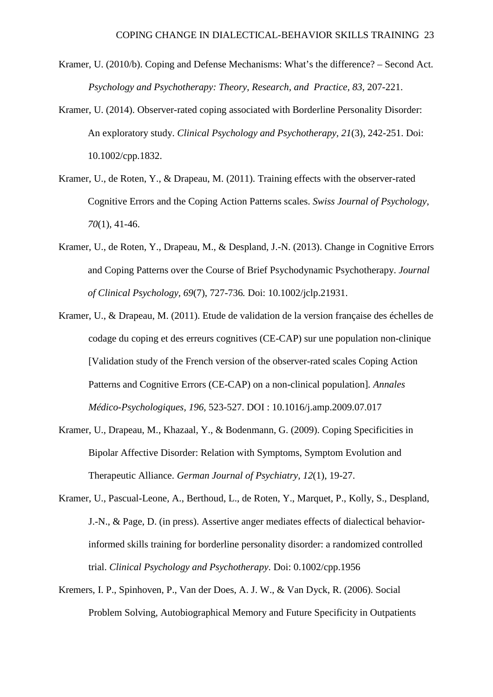- Kramer, U. (2010/b). Coping and Defense Mechanisms: What's the difference? Second Act. *Psychology and Psychotherapy: Theory, Research, and Practice, 83,* 207-221.
- Kramer, U. (2014). Observer-rated coping associated with Borderline Personality Disorder: An exploratory study. *Clinical Psychology and Psychotherapy, 21*(3), 242-251. Doi: 10.1002/cpp.1832.
- Kramer, U., de Roten, Y., & Drapeau, M. (2011). Training effects with the observer-rated Cognitive Errors and the Coping Action Patterns scales. *Swiss Journal of Psychology, 70*(1), 41-46.
- Kramer, U., de Roten, Y., Drapeau, M., & Despland, J.-N. (2013). Change in Cognitive Errors and Coping Patterns over the Course of Brief Psychodynamic Psychotherapy. *Journal of Clinical Psychology, 69*(7), 727-736*.* Doi: 10.1002/jclp.21931.
- Kramer, U., & Drapeau, M. (2011). Etude de validation de la version française des échelles de codage du coping et des erreurs cognitives (CE-CAP) sur une population non-clinique [Validation study of the French version of the observer-rated scales Coping Action Patterns and Cognitive Errors (CE-CAP) on a non-clinical population]*. Annales Médico-Psychologiques, 196,* 523-527. DOI : 10.1016/j.amp.2009.07.017
- Kramer, U., Drapeau, M., Khazaal, Y., & Bodenmann, G. (2009). Coping Specificities in Bipolar Affective Disorder: Relation with Symptoms, Symptom Evolution and Therapeutic Alliance. *German Journal of Psychiatry, 12*(1), 19-27.
- Kramer, U., Pascual-Leone, A., Berthoud, L., de Roten, Y., Marquet, P., Kolly, S., Despland, J.-N., & Page, D. (in press). Assertive anger mediates effects of dialectical behaviorinformed skills training for borderline personality disorder: a randomized controlled trial. *Clinical Psychology and Psychotherapy*. Doi: 0.1002/cpp.1956
- Kremers, I. P., Spinhoven, P., Van der Does, A. J. W., & Van Dyck, R. (2006). Social Problem Solving, Autobiographical Memory and Future Specificity in Outpatients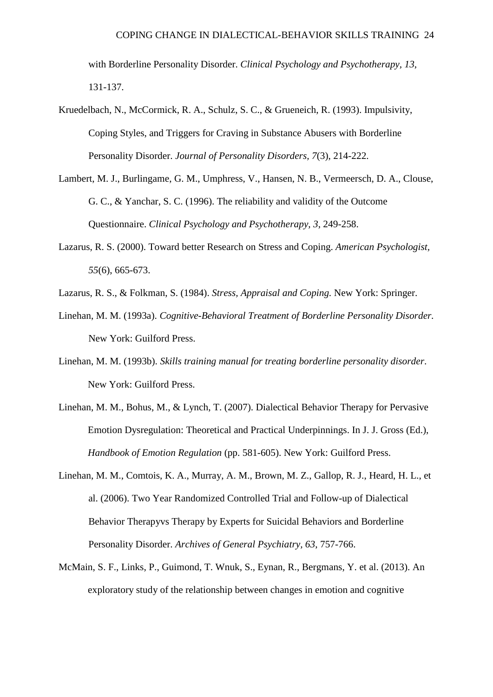with Borderline Personality Disorder. *Clinical Psychology and Psychotherapy, 13*, 131-137.

- Kruedelbach, N., McCormick, R. A., Schulz, S. C., & Grueneich, R. (1993). Impulsivity, Coping Styles, and Triggers for Craving in Substance Abusers with Borderline Personality Disorder. *Journal of Personality Disorders, 7*(3), 214-222.
- Lambert, M. J., Burlingame, G. M., Umphress, V., Hansen, N. B., Vermeersch, D. A., Clouse, G. C., & Yanchar, S. C. (1996). The reliability and validity of the Outcome Questionnaire. *Clinical Psychology and Psychotherapy, 3*, 249-258.
- Lazarus, R. S. (2000). Toward better Research on Stress and Coping. *American Psychologist, 55*(6), 665-673.
- Lazarus, R. S., & Folkman, S. (1984). *Stress, Appraisal and Coping.* New York: Springer.
- Linehan, M. M. (1993a). *Cognitive-Behavioral Treatment of Borderline Personality Disorder.* New York: Guilford Press.
- Linehan, M. M. (1993b). *Skills training manual for treating borderline personality disorder*. New York: Guilford Press.
- Linehan, M. M., Bohus, M., & Lynch, T. (2007). Dialectical Behavior Therapy for Pervasive Emotion Dysregulation: Theoretical and Practical Underpinnings. In J. J. Gross (Ed.), *Handbook of Emotion Regulation* (pp. 581-605). New York: Guilford Press.
- Linehan, M. M., Comtois, K. A., Murray, A. M., Brown, M. Z., Gallop, R. J., Heard, H. L., et al. (2006). Two Year Randomized Controlled Trial and Follow-up of Dialectical Behavior Therapyvs Therapy by Experts for Suicidal Behaviors and Borderline Personality Disorder. *Archives of General Psychiatry, 63*, 757-766.
- McMain, S. F., Links, P., Guimond, T. Wnuk, S., Eynan, R., Bergmans, Y. et al. (2013). An exploratory study of the relationship between changes in emotion and cognitive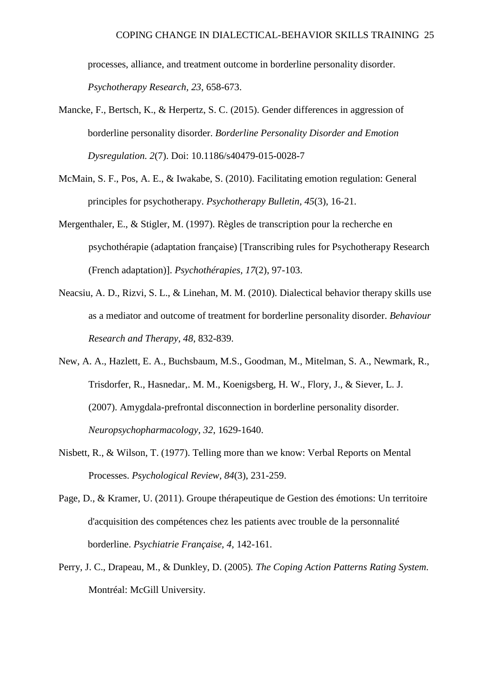processes, alliance, and treatment outcome in borderline personality disorder. *Psychotherapy Research, 23*, 658-673.

- Mancke, F., Bertsch, K., & Herpertz, S. C. (2015). Gender differences in aggression of borderline personality disorder. *Borderline Personality Disorder and Emotion Dysregulation. 2*(7). Doi: 10.1186/s40479-015-0028-7
- McMain, S. F., Pos, A. E., & Iwakabe, S. (2010). Facilitating emotion regulation: General principles for psychotherapy. *Psychotherapy Bulletin, 45*(3), 16-21.
- Mergenthaler, E., & Stigler, M. (1997). Règles de transcription pour la recherche en psychothérapie (adaptation française) [Transcribing rules for Psychotherapy Research (French adaptation)]. *Psychothérapies, 17*(2), 97-103.
- Neacsiu, A. D., Rizvi, S. L., & Linehan, M. M. (2010). Dialectical behavior therapy skills use as a mediator and outcome of treatment for borderline personality disorder. *Behaviour Research and Therapy, 48*, 832-839.
- New, A. A., Hazlett, E. A., Buchsbaum, M.S., Goodman, M., Mitelman, S. A., Newmark, R., Trisdorfer, R., Hasnedar,. M. M., Koenigsberg, H. W., Flory, J., & Siever, L. J. (2007). Amygdala-prefrontal disconnection in borderline personality disorder. *Neuropsychopharmacology, 32*, 1629-1640.
- Nisbett, R., & Wilson, T. (1977). Telling more than we know: Verbal Reports on Mental Processes. *Psychological Review, 84*(3), 231-259.
- Page, D., & Kramer, U. (2011). Groupe thérapeutique de Gestion des émotions: Un territoire d'acquisition des compétences chez les patients avec trouble de la personnalité borderline. *Psychiatrie Française, 4*, 142-161.
- Perry, J. C., Drapeau, M., & Dunkley, D. (2005)*. The Coping Action Patterns Rating System*. Montréal: McGill University.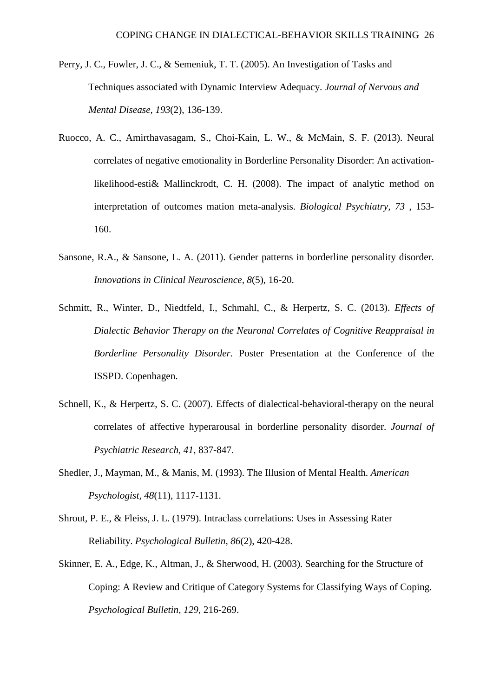- Perry, J. C., Fowler, J. C., & Semeniuk, T. T. (2005). An Investigation of Tasks and Techniques associated with Dynamic Interview Adequacy. *Journal of Nervous and Mental Disease, 193*(2), 136-139.
- Ruocco, A. C., Amirthavasagam, S., Choi-Kain, L. W., & McMain, S. F. (2013). Neural correlates of negative emotionality in Borderline Personality Disorder: An activationlikelihood-esti& Mallinckrodt, C. H. (2008). The impact of analytic method on interpretation of outcomes mation meta-analysis. *Biological Psychiatry, 73* , 153- 160.
- Sansone, R.A., & Sansone, L. A. (2011). Gender patterns in borderline personality disorder. *Innovations in Clinical Neuroscience, 8*(5), 16-20.
- Schmitt, R., Winter, D., Niedtfeld, I., Schmahl, C., & Herpertz, S. C. (2013). *Effects of Dialectic Behavior Therapy on the Neuronal Correlates of Cognitive Reappraisal in Borderline Personality Disorder.* Poster Presentation at the Conference of the ISSPD. Copenhagen.
- Schnell, K., & Herpertz, S. C. (2007). Effects of dialectical-behavioral-therapy on the neural correlates of affective hyperarousal in borderline personality disorder. *Journal of Psychiatric Research, 41*, 837-847.
- Shedler, J., Mayman, M., & Manis, M. (1993). The Illusion of Mental Health. *American Psychologist, 48*(11), 1117-1131.
- Shrout, P. E., & Fleiss, J. L. (1979). Intraclass correlations: Uses in Assessing Rater Reliability. *Psychological Bulletin, 86*(2), 420-428.
- Skinner, E. A., Edge, K., Altman, J., & Sherwood, H. (2003). Searching for the Structure of Coping: A Review and Critique of Category Systems for Classifying Ways of Coping. *Psychological Bulletin, 129*, 216-269.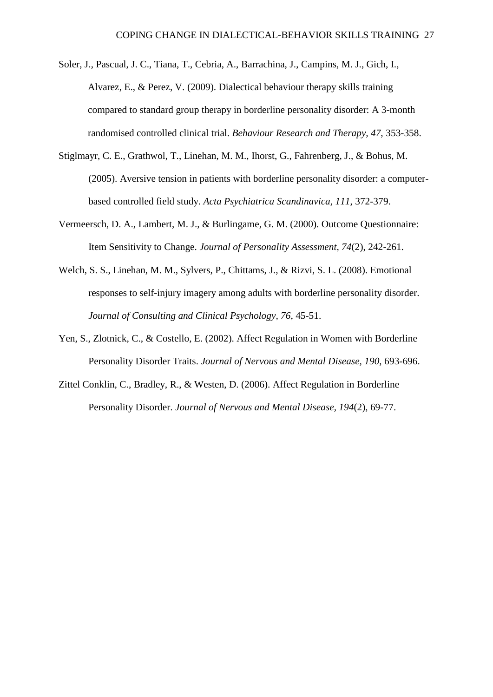- Soler, J., Pascual, J. C., Tiana, T., Cebria, A., Barrachina, J., Campins, M. J., Gich, I., Alvarez, E., & Perez, V. (2009). Dialectical behaviour therapy skills training compared to standard group therapy in borderline personality disorder: A 3-month randomised controlled clinical trial. *Behaviour Research and Therapy, 47*, 353-358.
- Stiglmayr, C. E., Grathwol, T., Linehan, M. M., Ihorst, G., Fahrenberg, J., & Bohus, M. (2005). Aversive tension in patients with borderline personality disorder: a computerbased controlled field study. *Acta Psychiatrica Scandinavica, 111*, 372-379.
- Vermeersch, D. A., Lambert, M. J., & Burlingame, G. M. (2000). Outcome Questionnaire: Item Sensitivity to Change. *Journal of Personality Assessment, 74*(2), 242-261.
- Welch, S. S., Linehan, M. M., Sylvers, P., Chittams, J., & Rizvi, S. L. (2008). Emotional responses to self-injury imagery among adults with borderline personality disorder. *Journal of Consulting and Clinical Psychology, 76*, 45-51.
- Yen, S., Zlotnick, C., & Costello, E. (2002). Affect Regulation in Women with Borderline Personality Disorder Traits. *Journal of Nervous and Mental Disease, 190*, 693-696.
- Zittel Conklin, C., Bradley, R., & Westen, D. (2006). Affect Regulation in Borderline Personality Disorder. *Journal of Nervous and Mental Disease, 194*(2), 69-77.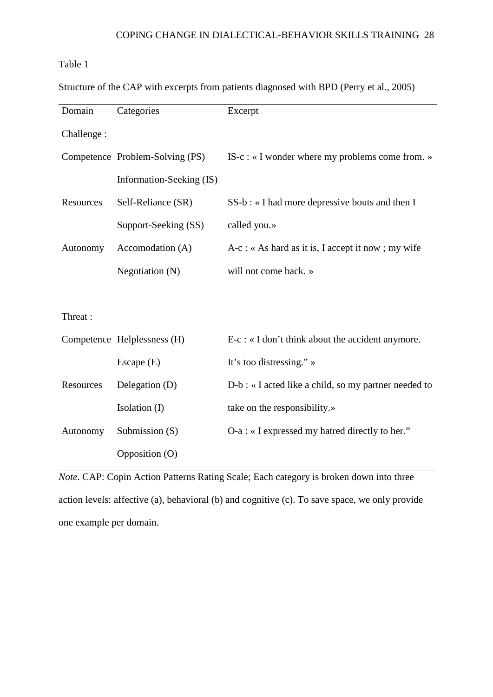# Table 1

Structure of the CAP with excerpts from patients diagnosed with BPD (Perry et al., 2005)

| Domain     | Categories                      | Excerpt                                                   |
|------------|---------------------------------|-----------------------------------------------------------|
| Challenge: |                                 |                                                           |
|            | Competence Problem-Solving (PS) | IS-c : « I wonder where my problems come from. »          |
|            | Information-Seeking (IS)        |                                                           |
| Resources  | Self-Reliance (SR)              | SS-b : « I had more depressive bouts and then I           |
|            | Support-Seeking (SS)            | called you.»                                              |
| Autonomy   | Accomodation (A)                | $A-c: \alpha A s$ hard as it is, I accept it now; my wife |
|            | Negotiation $(N)$               | will not come back. »                                     |
|            |                                 |                                                           |
| Threat:    |                                 |                                                           |
|            | Competence Helplessness (H)     | $E-c$ : « I don't think about the accident anymore.       |
|            | Escape $(E)$                    | It's too distressing." $\rightarrow$                      |
| Resources  | Delegation (D)                  | D-b : « I acted like a child, so my partner needed to     |
|            | Isolation (I)                   | take on the responsibility.»                              |
| Autonomy   | Submission $(S)$                | O-a : « I expressed my hatred directly to her."           |
|            | Opposition (O)                  |                                                           |

*Note*. CAP: Copin Action Patterns Rating Scale; Each category is broken down into three action levels: affective (a), behavioral (b) and cognitive (c). To save space, we only provide one example per domain.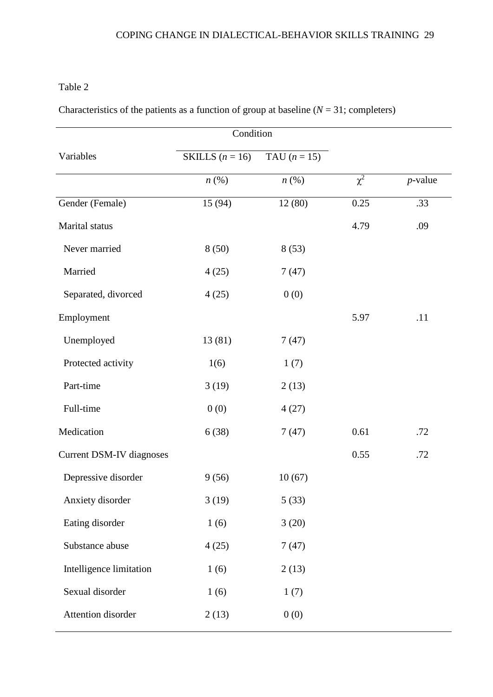# Table 2

| Characteristics of the patients as a function of group at baseline $(N = 31$ ; completers) |  |  |  |  |  |
|--------------------------------------------------------------------------------------------|--|--|--|--|--|
|--------------------------------------------------------------------------------------------|--|--|--|--|--|

|                                 | Condition          |                    |          |            |
|---------------------------------|--------------------|--------------------|----------|------------|
| Variables                       | SKILLS $(n = 16)$  | TAU $(n = 15)$     |          |            |
|                                 | $n\left(\%\right)$ | $n\left(\%\right)$ | $\chi^2$ | $p$ -value |
| Gender (Female)                 | 15 (94)            | 12(80)             | 0.25     | .33        |
| Marital status                  |                    |                    | 4.79     | .09        |
| Never married                   | 8(50)              | 8(53)              |          |            |
| Married                         | 4(25)              | 7(47)              |          |            |
| Separated, divorced             | 4(25)              | 0(0)               |          |            |
| Employment                      |                    |                    | 5.97     | .11        |
| Unemployed                      | 13 (81)            | 7(47)              |          |            |
| Protected activity              | 1(6)               | 1(7)               |          |            |
| Part-time                       | 3(19)              | 2(13)              |          |            |
| Full-time                       | 0(0)               | 4(27)              |          |            |
| Medication                      | 6(38)              | 7(47)              | 0.61     | .72        |
| <b>Current DSM-IV diagnoses</b> |                    |                    | 0.55     | .72        |
| Depressive disorder             | 9(56)              | 10(67)             |          |            |
| Anxiety disorder                | 3(19)              | 5(33)              |          |            |
| Eating disorder                 | 1(6)               | 3(20)              |          |            |
| Substance abuse                 | 4(25)              | 7(47)              |          |            |
| Intelligence limitation         | 1(6)               | 2(13)              |          |            |
| Sexual disorder                 | 1(6)               | 1(7)               |          |            |
| Attention disorder              | 2(13)              | 0(0)               |          |            |
|                                 |                    |                    |          |            |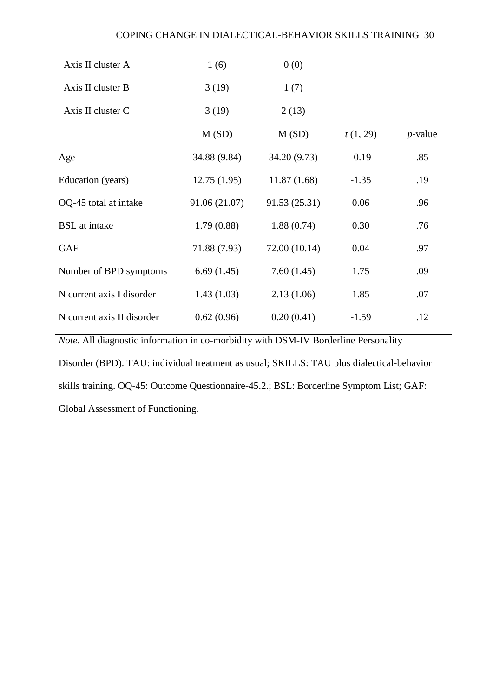# COPING CHANGE IN DIALECTICAL-BEHAVIOR SKILLS TRAINING 30

| Axis II cluster A          | 1(6)          | 0(0)          |          |            |
|----------------------------|---------------|---------------|----------|------------|
| Axis II cluster B          | 3(19)         | 1(7)          |          |            |
| Axis II cluster C          | 3(19)         | 2(13)         |          |            |
|                            | M(SD)         | M(SD)         | t(1, 29) | $p$ -value |
| Age                        | 34.88 (9.84)  | 34.20 (9.73)  | $-0.19$  | .85        |
| Education (years)          | 12.75(1.95)   | 11.87(1.68)   | $-1.35$  | .19        |
| OQ-45 total at intake      | 91.06 (21.07) | 91.53 (25.31) | 0.06     | .96        |
| <b>BSL</b> at intake       | 1.79(0.88)    | 1.88(0.74)    | 0.30     | .76        |
| <b>GAF</b>                 | 71.88 (7.93)  | 72.00 (10.14) | 0.04     | .97        |
| Number of BPD symptoms     | 6.69(1.45)    | 7.60(1.45)    | 1.75     | .09        |
| N current axis I disorder  | 1.43(1.03)    | 2.13(1.06)    | 1.85     | .07        |
| N current axis II disorder | 0.62(0.96)    | 0.20(0.41)    | $-1.59$  | .12        |

*Note*. All diagnostic information in co-morbidity with DSM-IV Borderline Personality

Disorder (BPD). TAU: individual treatment as usual; SKILLS: TAU plus dialectical-behavior skills training. OQ-45: Outcome Questionnaire-45.2.; BSL: Borderline Symptom List; GAF: Global Assessment of Functioning.